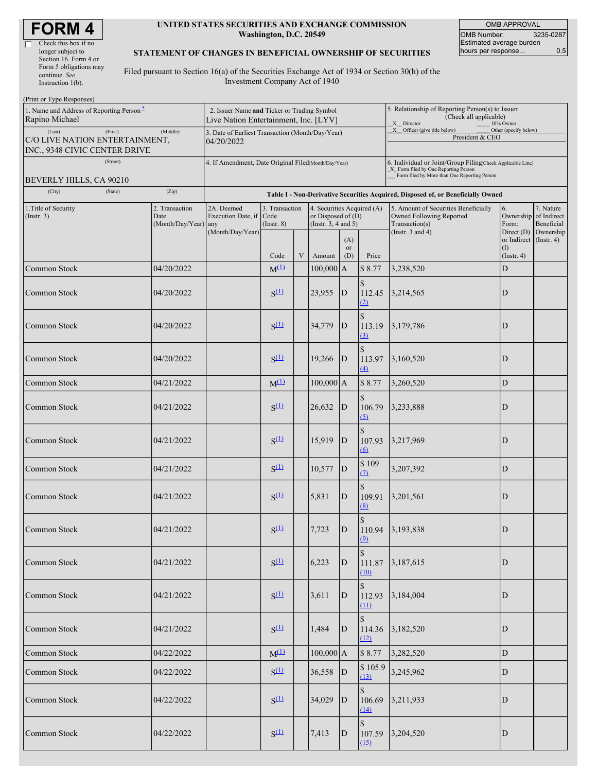| <b>FORM4</b> |  |
|--------------|--|
|--------------|--|

| Check this box if no   |
|------------------------|
| longer subject to      |
| Section 16. Form 4 or  |
| Form 5 obligations may |
| continue. See          |
| Instruction $l(b)$ .   |

#### **UNITED STATES SECURITIES AND EXCHANGE COMMISSION Washington, D.C. 20549**

OMB APPROVAL OMB Number: 3235-0287 Estimated average burden hours per response... 0.5

### **STATEMENT OF CHANGES IN BENEFICIAL OWNERSHIP OF SECURITIES**

Filed pursuant to Section 16(a) of the Securities Exchange Act of 1934 or Section 30(h) of the Investment Company Act of 1940

| (Print or Type Responses)                                  |                                                                                      |                                                                                  |                  |   |                                                    |                  |                                                                                                                                                      |                                                                             |                                                 |                         |  |
|------------------------------------------------------------|--------------------------------------------------------------------------------------|----------------------------------------------------------------------------------|------------------|---|----------------------------------------------------|------------------|------------------------------------------------------------------------------------------------------------------------------------------------------|-----------------------------------------------------------------------------|-------------------------------------------------|-------------------------|--|
| 1. Name and Address of Reporting Person-<br>Rapino Michael | 2. Issuer Name and Ticker or Trading Symbol<br>Live Nation Entertainment, Inc. [LYV] |                                                                                  |                  |   |                                                    |                  | 5. Relationship of Reporting Person(s) to Issuer<br>(Check all applicable)<br>X_Director<br>10% Owner                                                |                                                                             |                                                 |                         |  |
| (Last)<br>(First)<br>INC., 9348 CIVIC CENTER DRIVE         | (Middle)<br>C/O LIVE NATION ENTERTAINMENT,                                           |                                                                                  |                  |   | 3. Date of Earliest Transaction (Month/Day/Year)   |                  |                                                                                                                                                      | X __ Officer (give title below)<br>Other (specify below)<br>President & CEO |                                                 |                         |  |
| (Street)<br>BEVERLY HILLS, CA 90210                        | 4. If Amendment, Date Original Filed(Month/Day/Year)                                 |                                                                                  |                  |   |                                                    |                  | 6. Individual or Joint/Group Filing(Check Applicable Line)<br>_X_ Form filed by One Reporting Person<br>Form filed by More than One Reporting Person |                                                                             |                                                 |                         |  |
| (City)<br>(State)                                          | (Zip)                                                                                | Table I - Non-Derivative Securities Acquired, Disposed of, or Beneficially Owned |                  |   |                                                    |                  |                                                                                                                                                      |                                                                             |                                                 |                         |  |
| 1. Title of Security<br>$($ Instr. 3 $)$                   | 2. Transaction<br>Date                                                               | 2A. Deemed<br>Execution Date, if Code                                            | 3. Transaction   |   | 4. Securities Acquired (A)<br>or Disposed of $(D)$ |                  |                                                                                                                                                      | 5. Amount of Securities Beneficially<br>Owned Following Reported            | 7. Nature<br>6.<br>Ownership of Indirect        |                         |  |
|                                                            | (Month/Day/Year) any                                                                 | (Month/Day/Year)                                                                 | $($ Instr. $8)$  |   | (Instr. $3, 4$ and $5$ )                           | (A)              |                                                                                                                                                      | Transaction(s)<br>(Instr. $3$ and $4$ )                                     | Form:<br>Direct $(D)$<br>or Indirect (Instr. 4) | Beneficial<br>Ownership |  |
|                                                            |                                                                                      |                                                                                  | Code             | V | Amount                                             | <b>or</b><br>(D) | Price                                                                                                                                                |                                                                             | (1)<br>(Insert. 4)                              |                         |  |
| Common Stock                                               | 04/20/2022                                                                           |                                                                                  | $M^{(1)}$        |   | $100,000$ A                                        |                  | \$8.77                                                                                                                                               | 3,238,520                                                                   | ${\rm D}$                                       |                         |  |
| Common Stock                                               | 04/20/2022                                                                           |                                                                                  | $S^{(1)}$        |   | 23,955                                             | $\vert$ D        | \$<br>112.45<br>(2)                                                                                                                                  | 3,214,565                                                                   | $\mathbf D$                                     |                         |  |
| Common Stock                                               | 04/20/2022                                                                           |                                                                                  | $S^{(1)}$        |   | 34,779                                             | $\mathbf D$      | $\mathcal{S}$<br>113.19<br>(3)                                                                                                                       | 3,179,786                                                                   | D                                               |                         |  |
| Common Stock                                               | 04/20/2022                                                                           |                                                                                  | $S^{(1)}$        |   | 19,266                                             | $\mathbf{D}$     | \$<br>113.97<br>$\triangle$                                                                                                                          | 3,160,520                                                                   | D                                               |                         |  |
| Common Stock                                               | 04/21/2022                                                                           |                                                                                  | $M^{(1)}$        |   | $100,000$ A                                        |                  | \$8.77                                                                                                                                               | 3,260,520                                                                   | ${\rm D}$                                       |                         |  |
| Common Stock                                               | 04/21/2022                                                                           |                                                                                  | $S^{(1)}$        |   | 26,632                                             | ${\bf D}$        | $\mathbb{S}$<br>106.79<br>(5)                                                                                                                        | 3,233,888                                                                   | D                                               |                         |  |
| Common Stock                                               | 04/21/2022                                                                           |                                                                                  | $S^{(1)}$        |   | 15,919                                             | $\mathbf{D}$     | \$<br>107.93<br>$\Omega$                                                                                                                             | 3,217,969                                                                   | D                                               |                         |  |
| Common Stock                                               | 04/21/2022                                                                           |                                                                                  | $S^{(1)}$        |   | 10,577                                             | $\mathbf{D}$     | \$109<br>$\Omega$                                                                                                                                    | 3,207,392                                                                   | ${\rm D}$                                       |                         |  |
| Common Stock                                               | 04/21/2022                                                                           |                                                                                  | $S^{(1)}$        |   | 5,831                                              | ${\bf D}$        | $\mathbb{S}$<br>109.91<br>(8)                                                                                                                        | 3,201,561                                                                   | D                                               |                         |  |
| Common Stock                                               | 04/21/2022                                                                           |                                                                                  | S <sub>(1)</sub> |   | 7,723                                              | $\mathbf D$      | S<br>$\Omega$                                                                                                                                        | 110.94 3,193,838                                                            | ID                                              |                         |  |
| Common Stock                                               | 04/21/2022                                                                           |                                                                                  | $S^{(1)}$        |   | 6,223                                              | D                | 111.87<br>(10)                                                                                                                                       | 3,187,615                                                                   | D                                               |                         |  |
| Common Stock                                               | 04/21/2022                                                                           |                                                                                  | $S^{(1)}$        |   | 3,611                                              | D                | $\mathbf S$<br>112.93<br>(11)                                                                                                                        | 3,184,004                                                                   | D                                               |                         |  |
| Common Stock                                               | 04/21/2022                                                                           |                                                                                  | $S^{(1)}$        |   | 1,484                                              | D                | $\mathcal{S}$<br>114.36<br>(12)                                                                                                                      | 3,182,520                                                                   | D                                               |                         |  |
| Common Stock                                               | 04/22/2022                                                                           |                                                                                  | $M^{(1)}$        |   | $100,000$ A                                        |                  | \$8.77                                                                                                                                               | 3,282,520                                                                   | ${\bf D}$                                       |                         |  |
| Common Stock                                               | 04/22/2022                                                                           |                                                                                  | $S^{(1)}$        |   | $36,558$ D                                         |                  | \$105.9<br>(13)                                                                                                                                      | 3,245,962                                                                   | D                                               |                         |  |
| Common Stock                                               | 04/22/2022                                                                           |                                                                                  | $S^{(1)}$        |   | 34,029                                             | $\mathbf{D}$     | $\mathcal{S}$<br>106.69<br>(14)                                                                                                                      | 3,211,933                                                                   | D                                               |                         |  |
| Common Stock                                               | 04/22/2022                                                                           |                                                                                  | $S^{(1)}$        |   | 7,413                                              | $\mathbf D$      | \$<br>107.59<br>(15)                                                                                                                                 | 3,204,520                                                                   | D                                               |                         |  |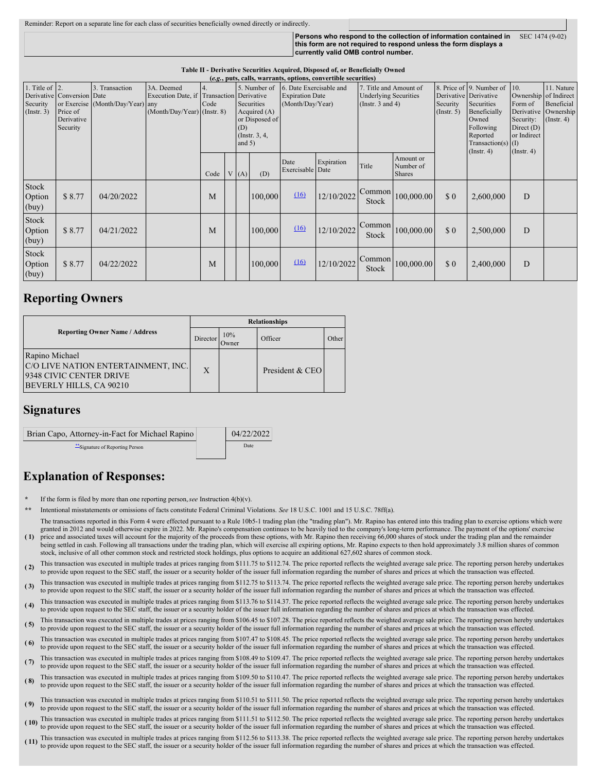| Reminder: Report on a separate line for each class of securities beneficially owned directly or indirectly. |                                                                                                                                                                              |                 |
|-------------------------------------------------------------------------------------------------------------|------------------------------------------------------------------------------------------------------------------------------------------------------------------------------|-----------------|
|                                                                                                             | Persons who respond to the collection of information contained in<br>this form are not required to respond unless the form displays a<br>currently valid OMB control number. | SEC 1474 (9-02) |

|                                                   | $(c, c, p, p, c)$ , cans, wall ants, options, convertible securities |                                                    |                                                                                          |            |  |                                                                                    |         |                          |            |                 |                                         |                |           |   |                                                                       |  |                                                                                                            |  |                                                                                                                                                          |                                                                                          |                                                                                               |
|---------------------------------------------------|----------------------------------------------------------------------|----------------------------------------------------|------------------------------------------------------------------------------------------|------------|--|------------------------------------------------------------------------------------|---------|--------------------------|------------|-----------------|-----------------------------------------|----------------|-----------|---|-----------------------------------------------------------------------|--|------------------------------------------------------------------------------------------------------------|--|----------------------------------------------------------------------------------------------------------------------------------------------------------|------------------------------------------------------------------------------------------|-----------------------------------------------------------------------------------------------|
| 1. Title of $\vert$ 2.<br>Security<br>(Insert. 3) | Derivative Conversion Date<br>Price of<br>Derivative<br>Security     | 3. Transaction<br>or Exercise (Month/Day/Year) any | 3A. Deemed<br>Execution Date, if Transaction Derivative<br>$(Month/Day/Year)$ (Instr. 8) | 4.<br>Code |  | 5. Number of<br>Securities<br>Acquired $(A)$<br>(D)<br>(Instr. $3, 4,$<br>and $5)$ |         |                          |            |                 |                                         | or Disposed of |           |   | 6. Date Exercisable and<br><b>Expiration Date</b><br>(Month/Day/Year) |  | 7. Title and Amount of<br><b>Underlying Securities</b><br>(Instr. $3$ and $4$ )<br>Security<br>(Insert. 5) |  | 8. Price of 9. Number of<br>Derivative Derivative<br>Securities<br>Beneficially<br>Owned<br>Following<br>Reported<br>Transaction(s) $(I)$<br>(Insert. 4) | <sup>10</sup> .<br>Form of<br>Security:<br>Direct (D)<br>or Indirect<br>$($ Instr. 4 $)$ | 11. Nature<br>Ownership of Indirect<br>Beneficial<br>Derivative Ownership<br>$($ Instr. 4 $)$ |
|                                                   |                                                                      |                                                    |                                                                                          | Code       |  | V(A)                                                                               | (D)     | Date<br>Exercisable Date | Expiration | Title           | Amount or<br>Number of<br><b>Shares</b> |                |           |   |                                                                       |  |                                                                                                            |  |                                                                                                                                                          |                                                                                          |                                                                                               |
| Stock<br>Option<br>(buy)                          | \$8.77                                                               | 04/20/2022                                         |                                                                                          | M          |  |                                                                                    | 100,000 | (16)                     | 12/10/2022 | Common<br>Stock | 100,000.00                              | \$0            | 2,600,000 | D |                                                                       |  |                                                                                                            |  |                                                                                                                                                          |                                                                                          |                                                                                               |
| Stock<br>Option<br>(buy)                          | \$8.77                                                               | 04/21/2022                                         |                                                                                          | M          |  |                                                                                    | 100,000 | $\underline{(16)}$       | 12/10/2022 | Common<br>Stock | 100,000.00                              | \$0            | 2,500,000 | D |                                                                       |  |                                                                                                            |  |                                                                                                                                                          |                                                                                          |                                                                                               |
| Stock<br>Option<br>(buy)                          | \$8.77                                                               | 04/22/2022                                         |                                                                                          | M          |  |                                                                                    | 100,000 | (16)                     | 12/10/2022 | Common<br>Stock | 100,000.00                              | \$0            | 2,400,000 | D |                                                                       |  |                                                                                                            |  |                                                                                                                                                          |                                                                                          |                                                                                               |

#### **Table II - Derivative Securities Acquired, Disposed of, or Beneficially Owned (***e.g.***, puts, calls, warrants, options, convertible securities)**

## **Reporting Owners**

|                                                                                                             | <b>Relationships</b> |              |                 |       |  |  |  |
|-------------------------------------------------------------------------------------------------------------|----------------------|--------------|-----------------|-------|--|--|--|
| <b>Reporting Owner Name / Address</b>                                                                       | Director             | 10%<br>Jwner | Officer         | Other |  |  |  |
| Rapino Michael<br>C/O LIVE NATION ENTERTAINMENT, INC.<br>9348 CIVIC CENTER DRIVE<br>BEVERLY HILLS, CA 90210 | X                    |              | President & CEO |       |  |  |  |

## **Signatures**

| Brian Capo, Attorney-in-Fact for Michael Rapino | 04/22/2022 |
|-------------------------------------------------|------------|
| Signature of Reporting Person                   | Date       |

# **Explanation of Responses:**

- If the form is filed by more than one reporting person, see Instruction  $4(b)(v)$ .
- **\*\*** Intentional misstatements or omissions of facts constitute Federal Criminal Violations. *See* 18 U.S.C. 1001 and 15 U.S.C. 78ff(a). The transactions reported in this Form 4 were effected pursuant to a Rule 10b5-1 trading plan (the "trading plan"). Mr. Rapino has entered into this trading plan to exercise options which were granted in 2012 and would otherwise expire in 2022. Mr. Rapino's compensation continues to be heavily tied to the company's long-term performance. The payment of the options' exercise
- **( 1)** price and associated taxes will account for the majority of the proceeds from these options, with Mr. Rapino then receiving 66,000 shares of stock under the trading plan and the remainder being settled in cash. Following all transactions under the trading plan, which will exercise all expiring options, Mr. Rapino expects to then hold approximately 3.8 million shares of common stock, inclusive of all other common stock and restricted stock holdings, plus options to acquire an additional 627,602 shares of common stock.
- **( 2)** This transaction was executed in multiple trades at prices ranging from \$111.75 to \$112.74. The price reported reflects the weighted average sale price. The reporting person hereby undertakes to provide upon request to the SEC staff, the issuer or a security holder of the issuer full information regarding the number of shares and prices at which the transaction was effected.
- **( 3)** This transaction was executed in multiple trades at prices ranging from \$112.75 to \$113.74. The price reported reflects the weighted average sale price. The reporting person hereby undertakes to provide upon request to the SEC staff, the issuer or a security holder of the issuer full information regarding the number of shares and prices at which the transaction was effected.
- (4) This transaction was executed in multiple trades at prices ranging from \$113.76 to \$114.37. The price reported reflects the weighted average sale price. The reporting person hereby undertakes to provide upon request to the SEC staff, the issuer or a security holder of the issuer full information regarding the number of shares and prices at which the transaction was effected.
- (5) This transaction was executed in multiple trades at prices ranging from \$106.45 to \$107.28. The price reported reflects the weighted average sale price. The reporting person hereby undertakes to see the contraction wa to provide upon request to the SEC staff, the issuer or a security holder of the issuer full information regarding the number of shares and prices at which the transaction was effected.
- (6) This transaction was executed in multiple trades at prices ranging from \$107.47 to \$108.45. The price reported reflects the weighted average sale price. The reporting person hereby undertakes to provide upon request to the SEC staff, the issuer or a security holder of the issuer full information regarding the number of shares and prices at which the transaction was effected.
- (7) This transaction was executed in multiple trades at prices ranging from \$108.49 to \$109.47. The price reported reflects the weighted average sale price. The reporting person hereby undertakes to provide upon request to the SEC staff, the issuer or a security holder of the issuer full information regarding the number of shares and prices at which the transaction was effected.
- **( 8)** This transaction was executed in multiple trades at prices ranging from \$109.50 to \$110.47. The price reported reflects the weighted average sale price. The reporting person hereby undertakes to provide upon request to the SEC staff, the issuer or a security holder of the issuer full information regarding the number of shares and prices at which the transaction was effected.
- (9) This transaction was executed in multiple trades at prices ranging from \$110.51 to \$111.50. The price reported reflects the weighted average sale price. The reporting person hereby undertakes to a price of the interest to provide upon request to the SEC staff, the issuer or a security holder of the issuer full information regarding the number of shares and prices at which the transaction was effected.
- **( 10)** This transaction was executed in multiple trades at prices ranging from \$111.51 to \$112.50. The price reported reflects the weighted average sale price. The reporting person hereby undertakes to provide upon request to the SEC staff, the issuer or a security holder of the issuer full information regarding the number of shares and prices at which the transaction was effected.
- **( 11)** This transaction was executed in multiple trades at prices ranging from \$112.56 to \$113.38. The price reported reflects the weighted average sale price. The reporting person hereby undertakes to provide upon request to the SEC staff, the issuer or a security holder of the issuer full information regarding the number of shares and prices at which the transaction was effected.